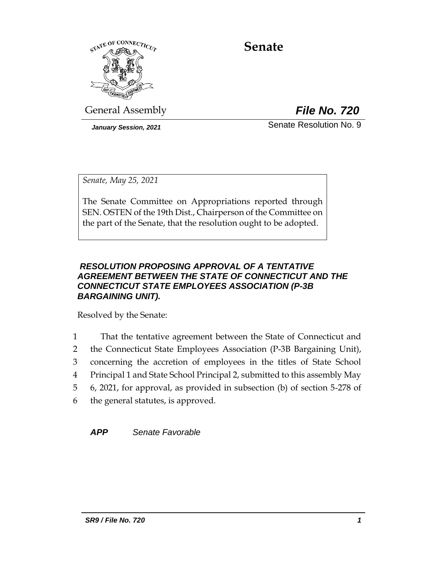

# **Senate**

General Assembly *File No. 720*

*January Session, 2021* 2008 Senate Resolution No. 9

*Senate, May 25, 2021*

The Senate Committee on Appropriations reported through SEN. OSTEN of the 19th Dist., Chairperson of the Committee on the part of the Senate, that the resolution ought to be adopted.

## *RESOLUTION PROPOSING APPROVAL OF A TENTATIVE AGREEMENT BETWEEN THE STATE OF CONNECTICUT AND THE CONNECTICUT STATE EMPLOYEES ASSOCIATION (P-3B BARGAINING UNIT).*

Resolved by the Senate:

 That the tentative agreement between the State of Connecticut and the Connecticut State Employees Association (P-3B Bargaining Unit), concerning the accretion of employees in the titles of State School Principal 1 and State School Principal 2, submitted to this assembly May 6, 2021, for approval, as provided in subsection (b) of section 5-278 of the general statutes, is approved.

*APP Senate Favorable*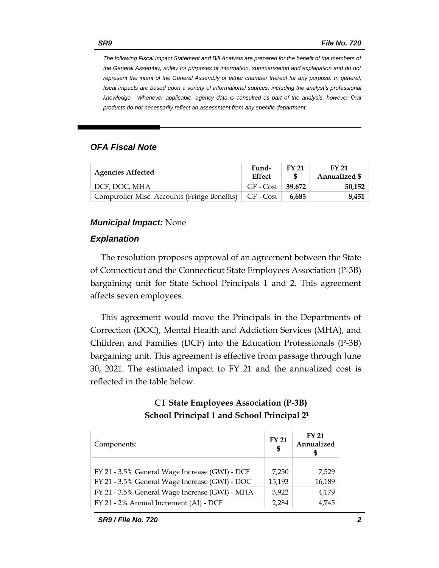*The following Fiscal Impact Statement and Bill Analysis are prepared for the benefit of the members of the General Assembly, solely for purposes of information, summarization and explanation and do not represent the intent of the General Assembly or either chamber thereof for any purpose. In general,*  fiscal impacts are based upon a variety of informational sources, including the analyst's professional *knowledge. Whenever applicable, agency data is consulted as part of the analysis, however final products do not necessarily reflect an assessment from any specific department.*

#### *OFA Fiscal Note*

| <b>Agencies Affected</b>                     | Fund-<br><b>Effect</b> | <b>FY 21</b> | FY 21<br><b>Annualized \$</b> |
|----------------------------------------------|------------------------|--------------|-------------------------------|
| DCF. DOC. MHA                                | $GF - Cost   39.672$   |              | 50,152                        |
| Comptroller Misc. Accounts (Fringe Benefits) | GF - Cost              | 6.685        | 8,451                         |

#### *Municipal Impact:* None

#### *Explanation*

The resolution proposes approval of an agreement between the State of Connecticut and the Connecticut State Employees Association (P-3B) bargaining unit for State School Principals 1 and 2. This agreement affects seven employees.

This agreement would move the Principals in the Departments of Correction (DOC), Mental Health and Addiction Services (MHA), and Children and Families (DCF) into the Education Professionals (P-3B) bargaining unit. This agreement is effective from passage through June 30, 2021. The estimated impact to FY 21 and the annualized cost is reflected in the table below.

# **CT State Employees Association (P-3B) School Principal 1 and School Principal 2<sup>1</sup>**

| Components:                                    | <b>FY 21</b><br>\$ | <b>FY 21</b><br>Annualized |
|------------------------------------------------|--------------------|----------------------------|
|                                                |                    |                            |
| FY 21 - 3.5% General Wage Increase (GWI) - DCF | 7,250              | 7,529                      |
| FY 21 - 3.5% General Wage Increase (GWI) - DOC | 15,193             | 16,189                     |
| FY 21 - 3.5% General Wage Increase (GWI) - MHA | 3,922              | 4,179                      |
| FY 21 - 2% Annual Increment (AI) - DCF         | 2,284              | 4,745                      |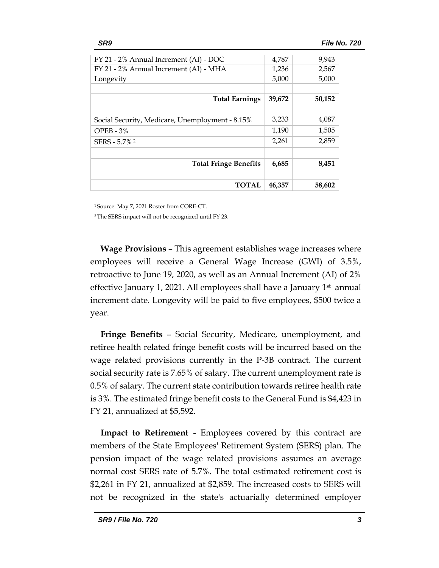| FY 21 - 2% Annual Increment (AI) - DOC          | 4,787  | 9,943  |
|-------------------------------------------------|--------|--------|
| FY 21 - 2% Annual Increment (AI) - MHA          | 1,236  | 2,567  |
| Longevity                                       | 5,000  | 5,000  |
|                                                 |        |        |
| <b>Total Earnings</b>                           | 39,672 | 50,152 |
|                                                 |        |        |
| Social Security, Medicare, Unemployment - 8.15% | 3,233  | 4,087  |
| $OPEB - 3%$                                     | 1,190  | 1,505  |
| SERS - 5.7% <sup>2</sup>                        | 2,261  | 2,859  |
|                                                 |        |        |
| <b>Total Fringe Benefits</b>                    | 6,685  | 8,451  |
|                                                 |        |        |
| TOTAL                                           | 46,357 | 58,602 |

<sup>1</sup>Source: May 7, 2021 Roster from CORE-CT.

<sup>2</sup>The SERS impact will not be recognized until FY 23.

**Wage Provisions** – This agreement establishes wage increases where employees will receive a General Wage Increase (GWI) of 3.5%, retroactive to June 19, 2020, as well as an Annual Increment (AI) of 2% effective January 1, 2021. All employees shall have a January 1<sup>st</sup> annual increment date. Longevity will be paid to five employees, \$500 twice a year.

**Fringe Benefits** – Social Security, Medicare, unemployment, and retiree health related fringe benefit costs will be incurred based on the wage related provisions currently in the P-3B contract. The current social security rate is 7.65% of salary. The current unemployment rate is 0.5% of salary. The current state contribution towards retiree health rate is 3%. The estimated fringe benefit costs to the General Fund is \$4,423 in FY 21, annualized at \$5,592.

**Impact to Retirement** - Employees covered by this contract are members of the State Employees' Retirement System (SERS) plan. The pension impact of the wage related provisions assumes an average normal cost SERS rate of 5.7%. The total estimated retirement cost is \$2,261 in FY 21, annualized at \$2,859. The increased costs to SERS will not be recognized in the state's actuarially determined employer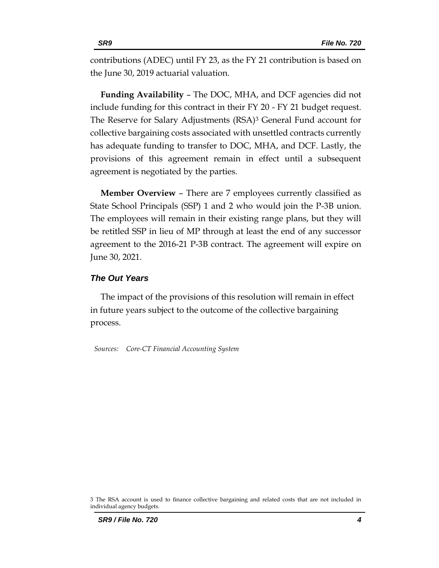contributions (ADEC) until FY 23, as the FY 21 contribution is based on the June 30, 2019 actuarial valuation.

**Funding Availability** – The DOC, MHA, and DCF agencies did not include funding for this contract in their FY 20 - FY 21 budget request. The Reserve for Salary Adjustments (RSA)<sup>3</sup> General Fund account for collective bargaining costs associated with unsettled contracts currently has adequate funding to transfer to DOC, MHA, and DCF. Lastly, the provisions of this agreement remain in effect until a subsequent agreement is negotiated by the parties.

**Member Overview** – There are 7 employees currently classified as State School Principals (SSP) 1 and 2 who would join the P-3B union. The employees will remain in their existing range plans, but they will be retitled SSP in lieu of MP through at least the end of any successor agreement to the 2016-21 P-3B contract. The agreement will expire on June 30, 2021.

#### *The Out Years*

The impact of the provisions of this resolution will remain in effect in future years subject to the outcome of the collective bargaining process.

*Sources: Core-CT Financial Accounting System*

<sup>3</sup> The RSA account is used to finance collective bargaining and related costs that are not included in individual agency budgets.